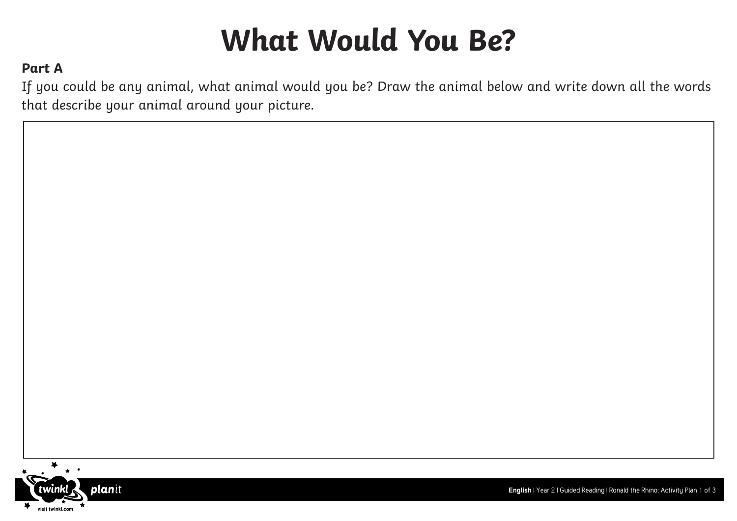# **What Would You Be?**

### **Part A**

If you could be any animal, what animal would you be? Draw the animal below and write down all the words that describe your animal around your picture.



**English** | Year 2 | Guided Reading | Ronald the Rhino: Activity Plan 1 of 3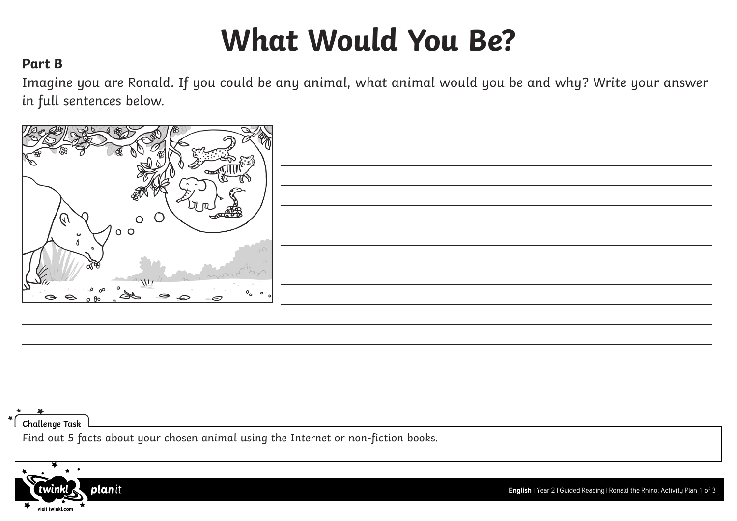# **What Would You Be?**

#### **Part B**

**plan**it

twınk

visit twinkl.com

Imagine you are Ronald. If you could be any animal, what animal would you be and why? Write your answer in full sentences below.

| E                                    |  |
|--------------------------------------|--|
| $\overline{ }$                       |  |
|                                      |  |
| Protection<br>$\sqrt{4}$<br>J.       |  |
| o o                                  |  |
| <b>Section</b>                       |  |
|                                      |  |
| ىد<br>$\circ$<br>⊖<br>⊖<br>€<br>o 80 |  |
|                                      |  |

| Challenge Task<br>Find out 5 facts about your chosen animal using the Internet or non-fiction books. |
|------------------------------------------------------------------------------------------------------|
|                                                                                                      |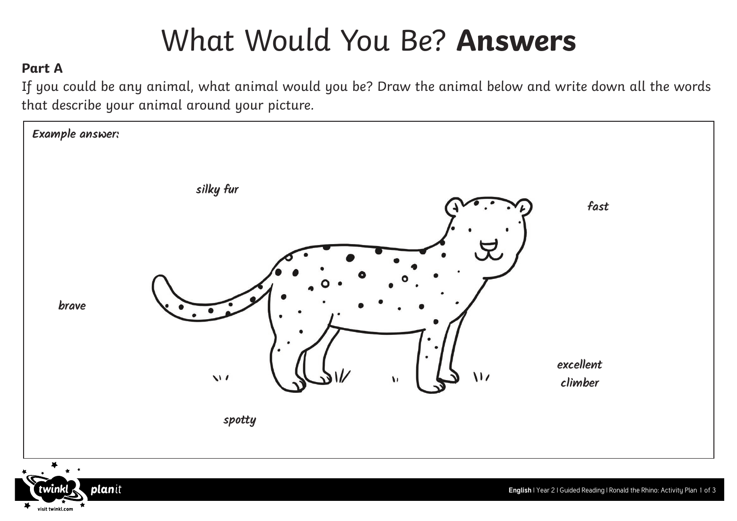### What Would You Be? **Answers**

### **Part A**

If you could be any animal, what animal would you be? Draw the animal below and write down all the words that describe your animal around your picture.